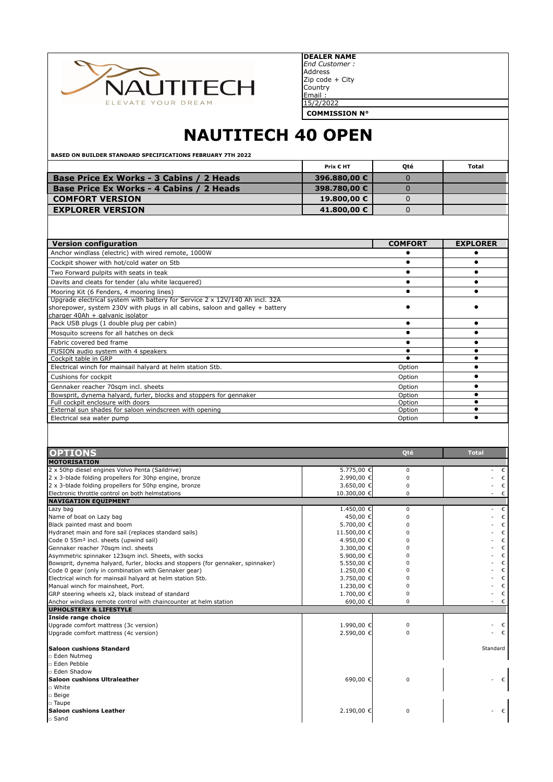

Zip code + City **Country** Email : 15/2/2022 **DEALER NAME** *End Customer :* Address

**COMMISSION N°**

## **NAUTITECH 40 OPEN**

**BASED ON BUILDER STANDARD SPECIFICATIONS FEBRUARY 7TH 2022**

|                                                 | Prix € HT    | Oté | Total |
|-------------------------------------------------|--------------|-----|-------|
| <b>Base Price Ex Works - 3 Cabins / 2 Heads</b> | 396,880,00 € |     |       |
| Base Price Ex Works - 4 Cabins / 2 Heads        | 398.780.00 € |     |       |
| <b>COMFORT VERSION</b>                          | 19.800,00 €  |     |       |
| <b>EXPLORER VERSION</b>                         | 41.800,00 €  |     |       |

| <b>Version configuration</b>                                                                                                                                                                            | <b>COMFORT</b> | <b>EXPLORER</b> |
|---------------------------------------------------------------------------------------------------------------------------------------------------------------------------------------------------------|----------------|-----------------|
| Anchor windlass (electric) with wired remote, 1000W                                                                                                                                                     |                |                 |
| Cockpit shower with hot/cold water on Stb                                                                                                                                                               |                |                 |
| Two Forward pulpits with seats in teak                                                                                                                                                                  |                |                 |
| Davits and cleats for tender (alu white lacquered)                                                                                                                                                      |                |                 |
| Mooring Kit (6 Fenders, 4 mooring lines)                                                                                                                                                                |                |                 |
| Upgrade electrical system with battery for Service $2 \times 12V/140$ Ah incl. 32A<br>shorepower, system 230V with plugs in all cabins, saloon and galley + battery<br>charger 40Ah + galvanic isolator |                |                 |
| Pack USB plugs (1 double plug per cabin)                                                                                                                                                                |                |                 |
| Mosquito screens for all hatches on deck                                                                                                                                                                |                |                 |
| Fabric covered bed frame                                                                                                                                                                                |                |                 |
| FUSION audio system with 4 speakers                                                                                                                                                                     |                |                 |
| Cockpit table in GRP                                                                                                                                                                                    |                |                 |
| Electrical winch for mainsail halyard at helm station Stb.                                                                                                                                              | Option         |                 |
| Cushions for cockpit                                                                                                                                                                                    | Option         |                 |
| Gennaker reacher 70sgm incl. sheets                                                                                                                                                                     | Option         |                 |
| Bowsprit, dynema halyard, furler, blocks and stoppers for gennaker                                                                                                                                      | Option         |                 |
| Full cockpit enclosure with doors                                                                                                                                                                       | Option         |                 |
| External sun shades for saloon windscreen with opening                                                                                                                                                  | Option         |                 |
| Electrical sea water pump                                                                                                                                                                               | Option         |                 |

| <b>OPTIONS</b><br>Oté<br><b>Total</b><br><b>MOTORISATION</b><br>2 x 50hp diesel engines Volvo Penta (Saildrive)<br>5.775,00 €<br>$\Omega$ |              |
|-------------------------------------------------------------------------------------------------------------------------------------------|--------------|
|                                                                                                                                           |              |
|                                                                                                                                           |              |
|                                                                                                                                           | €            |
| 2 x 3-blade folding propellers for 30hp engine, bronze<br>2.990,00 €<br>$\Omega$                                                          | €            |
| 2 x 3-blade folding propellers for 50hp engine, bronze<br>3.650,00 €<br>$\Omega$                                                          | $\epsilon$   |
| Electronic throttle control on both helmstations<br>10.300,00 €<br>$\Omega$                                                               | - $\epsilon$ |
| <b>NAVIGATION EQUIPMENT</b>                                                                                                               |              |
| 1.450,00 €<br>$\Omega$<br>Lazy bag                                                                                                        | $ \epsilon$  |
| Name of boat on Lazy bag<br>450,00 €<br>$\Omega$                                                                                          | $\epsilon$   |
| Black painted mast and boom<br>5.700,00 €                                                                                                 | $\epsilon$   |
| Hydranet main and fore sail (replaces standard sails)<br>11.500,00 €                                                                      | $\epsilon$   |
| Code 0 55m <sup>2</sup> incl. sheets (upwind sail)<br>4.950,00 €                                                                          | $\epsilon$   |
| Gennaker reacher 70sqm incl. sheets<br>3.300,00 €                                                                                         | $\epsilon$   |
| Asymmetric spinnaker 123sqm incl. Sheets, with socks<br>5.900,00 €                                                                        | $\epsilon$   |
| Bowsprit, dynema halyard, furler, blocks and stoppers (for gennaker, spinnaker)<br>5.550,00 €                                             | $\epsilon$   |
| Code 0 gear (only in combination with Gennaker gear)<br>1.250,00 €                                                                        | €            |
| Electrical winch for mainsail halyard at helm station Stb.<br>3.750,00 €                                                                  | €            |
| Manual winch for mainsheet, Port.<br>1.230,00 €                                                                                           | $\epsilon$   |
| GRP steering wheels x2, black instead of standard<br>1.700,00 €                                                                           | $\epsilon$   |
| Anchor windlass remote control with chaincounter at helm station<br>690,00 €<br>$\Omega$                                                  | $ \epsilon$  |
| <b>UPHOLSTERY &amp; LIFESTYLE</b>                                                                                                         |              |
| Inside range choice                                                                                                                       |              |
| Upgrade comfort mattress (3c version)<br>1.990,00 €<br>$\Omega$                                                                           | €            |
| Upgrade comfort mattress (4c version)<br>2.590,00 €<br>$\Omega$                                                                           | $\epsilon$   |
| <b>Saloon cushions Standard</b>                                                                                                           | Standard     |
| □ Eden Nutmeg                                                                                                                             |              |
| n Eden Pebble                                                                                                                             |              |
| □ Eden Shadow                                                                                                                             |              |
| Saloon cushions Ultraleather<br>690,00 €<br>$\Omega$                                                                                      | $\epsilon$   |
| □ White                                                                                                                                   |              |
| □ Beige                                                                                                                                   |              |
| □ Taupe                                                                                                                                   |              |
| Saloon cushions Leather<br>2.190,00 €<br>$\Omega$                                                                                         | $\epsilon$   |
| □ Sand                                                                                                                                    |              |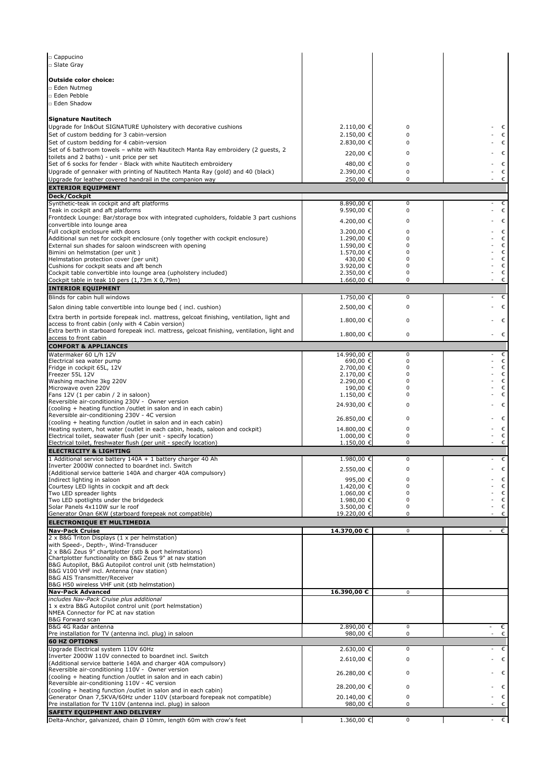| □ Cappucino<br>□ Slate Gray                                                                                                                     |                          |             |            |
|-------------------------------------------------------------------------------------------------------------------------------------------------|--------------------------|-------------|------------|
|                                                                                                                                                 |                          |             |            |
| <b>Outside color choice:</b><br>□ Eden Nutmeg                                                                                                   |                          |             |            |
| □ Eden Pebble                                                                                                                                   |                          |             |            |
| □ Eden Shadow                                                                                                                                   |                          |             |            |
| <b>Signature Nautitech</b>                                                                                                                      |                          |             |            |
| Upgrade for In&Out SIGNATURE Upholstery with decorative cushions                                                                                | 2.110,00 €<br>2.150,00 € | 0<br>0      | €          |
| Set of custom bedding for 3 cabin-version<br>Set of custom bedding for 4 cabin-version                                                          | 2.830,00 €               | 0           | €<br>€     |
| Set of 6 bathroom towels - white with Nautitech Manta Ray embroidery (2 guests, 2                                                               | 220,00 €                 | 0           | €          |
| toilets and 2 baths) - unit price per set<br>Set of 6 socks for fender - Black with white Nautitech embroidery                                  | 480,00 €                 | 0           | $\epsilon$ |
| Upgrade of gennaker with printing of Nautitech Manta Ray (gold) and 40 (black)                                                                  | 2.390,00 €               | $\pmb{0}$   | €          |
| Upgrade for leather covered handrail in the companion way<br><b>EXTERIOR EQUIPMENT</b>                                                          | 250,00 €                 | 0           | €          |
| Deck/Cockpit                                                                                                                                    |                          |             |            |
| Synthetic-teak in cockpit and aft platforms<br>Teak in cockpit and aft platforms                                                                | 8.890,00 €<br>9.590,00 € | 0<br>0      | €<br>€     |
| Frontdeck Lounge: Bar/storage box with integrated cupholders, foldable 3 part cushions                                                          |                          | 0           |            |
| convertible into lounge area                                                                                                                    | 4.200,00 €               | 0           | €<br>€     |
| Full cockpit enclosure with doors<br>Additional sun net for cockpit enclosure (only together with cockpit enclosure)                            | 3.200,00 €<br>1.290,00 € | 0           | €          |
| External sun shades for saloon windscreen with opening<br>Bimini on helmstation (per unit)                                                      | 1.590,00 €<br>1.570,00 € | 0<br>0      | €<br>€     |
| Helmstation protection cover (per unit)                                                                                                         | 430,00 €                 | 0           | €          |
| Cushions for cockpit seats and aft bench<br>Cockpit table convertible into lounge area (upholstery included)                                    | 3.920,00 €<br>2.350,00 € | 0<br>0      | €<br>€     |
| Cockpit table in teak 10 pers (1,73m X 0,79m)                                                                                                   | 1.660,00 €               | 0           | €          |
| <b>INTERIOR EQUIPMENT</b>                                                                                                                       |                          |             |            |
| Blinds for cabin hull windows                                                                                                                   | 1.750,00 €               | 0           | €          |
| Salon dining table convertible into lounge bed (incl. cushion)                                                                                  | 2.500,00 €               | 0           | €          |
| Extra berth in portside forepeak incl. mattress, gelcoat finishing, ventilation, light and<br>access to front cabin (only with 4 Cabin version) | $1.800,00 \in$           | 0           | €          |
| Extra berth in starboard forepeak incl. mattress, gelcoat finishing, ventilation, light and                                                     | 1.800,00 €               | 0           | €          |
| access to front cabin<br><b>COMFORT &amp; APPLIANCES</b>                                                                                        |                          |             |            |
| Watermaker 60 L/h 12V                                                                                                                           | 14.990,00 €              | 0           | €          |
| Electrical sea water pump<br>Fridge in cockpit 65L, 12V                                                                                         | 690,00 €<br>2.700,00 €   | 0<br>0      | €<br>€     |
| Freezer 55L 12V                                                                                                                                 | 2.170,00 €               | 0           | €          |
| Washing machine 3kg 220V<br>Microwave oven 220V                                                                                                 | 2.290,00 €<br>190,00 €   | 0<br>0      | €<br>€     |
| Fans 12V (1 per cabin / 2 in saloon)<br>Reversible air-conditioning 230V - Owner version                                                        | 1.150,00 €               | 0           | €          |
| (cooling + heating function /outlet in salon and in each cabin)                                                                                 | 24.930,00 €              | 0           | €          |
| Reversible air-conditioning 230V - 4C version<br>(cooling + heating function /outlet in salon and in each cabin)                                | 26.850,00 €              | 0           | €          |
| Heating system, hot water (outlet in each cabin, heads, saloon and cockpit)                                                                     | 14.800,00 €              | 0           | €          |
| Electrical toilet, seawater flush (per unit - specify location)<br>Electrical toilet, freshwater flush (per unit - specify location)            | 1.000,00 €<br>1.150,00 € | 0<br>0      | €<br>€     |
| <b>ELECTRICITY &amp; LIGHTING</b>                                                                                                               |                          |             |            |
| 1 Additional service battery 140A + 1 battery charger 40 Ah<br>Inverter 2000W connected to boardnet incl. Switch                                | 1.980,00 €               | 0           | €          |
| (Additional service batterie 140A and charger 40A compulsory)                                                                                   | 2.550,00 €               | 0           | €          |
| Indirect lighting in saloon<br>Courtesy LED lights in cockpit and aft deck                                                                      | 995,00 €<br>1.420,00 €   | 0<br>0      | €<br>€     |
| Two LED spreader lights                                                                                                                         | 1.060,00 €               | $\Omega$    | €          |
| Two LED spotlights under the bridgedeck<br>Solar Panels 4x110W sur le roof                                                                      | 1.980,00 €<br>3.500,00 € | 0<br>0      | €<br>€     |
| Generator Onan 6KW (starboard forepeak not compatible)                                                                                          | 19.220,00 €              | 0           | €          |
| <b>ELECTRONIQUE ET MULTIMEDIA</b>                                                                                                               |                          |             |            |
| <b>Nav-Pack Cruise</b><br>2 x B&G Triton Displays (1 x per helmstation)                                                                         | 14.370,00 €              | $\mathbf 0$ | €          |
| with Speed-, Depth-, Wind-Transducer                                                                                                            |                          |             |            |
| 2 x B&G Zeus 9" chartplotter (stb & port helmstations)<br>Chartplotter functionality on B&G Zeus 9" at nav station                              |                          |             |            |
| B&G Autopilot, B&G Autopilot control unit (stb helmstation)<br>B&G V100 VHF incl. Antenna (nav station)                                         |                          |             |            |
| <b>B&amp;G AIS Transmitter/Receiver</b>                                                                                                         |                          |             |            |
| B&G H50 wireless VHF unit (stb helmstation)<br><b>Nav-Pack Advanced</b>                                                                         | 16.390,00 €              | $\mathsf 0$ |            |
| includes Nav-Pack Cruise plus additional                                                                                                        |                          |             |            |
| 1 x extra B&G Autopilot control unit (port helmstation)<br>NMEA Connector for PC at nav station                                                 |                          |             |            |
| B&G Forward scan                                                                                                                                |                          |             |            |
| B&G 4G Radar antenna<br>Pre installation for TV (antenna incl. plug) in saloon                                                                  | 2.890,00 €<br>980,00 €   | 0<br>0      | €<br>€     |
| <b>60 HZ OPTIONS</b>                                                                                                                            |                          |             |            |
| Upgrade Electrical system 110V 60Hz<br>Inverter 2000W 110V connected to boardnet incl. Switch                                                   | 2.630,00 €               | 0           | €          |
| (Additional service batterie 140A and charger 40A compulsory)                                                                                   | 2.610,00 €               | 0           | €          |
| Reversible air-conditioning 110V - Owner version<br>(cooling + heating function /outlet in salon and in each cabin)                             | 26.280,00 €              | 0           | €          |
| Reversible air-conditioning 110V - 4C version                                                                                                   | 28.200,00 €              | 0           | €          |
| (cooling + heating function /outlet in salon and in each cabin)<br>Generator Onan 7,5KVA/60Hz under 110V (starboard forepeak not compatible)    | 20.140,00 €              | 0           | €          |
| Pre installation for TV 110V (antenna incl. plug) in saloon                                                                                     | 980,00 €                 | 0           | €          |
| <b>SAFETY EQUIPMENT AND DELIVERY</b><br>Delta-Anchor, galvanized, chain Ø 10mm, length 60m with crow's feet                                     | 1.360,00 €               | 0           | €          |
|                                                                                                                                                 |                          |             |            |